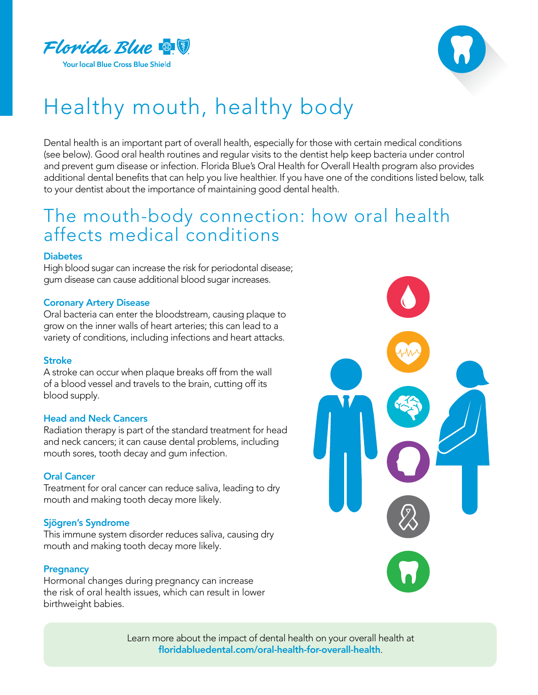



# Healthy mouth, healthy body

Dental health is an important part of overall health, especially for those with certain medical conditions (see below). Good oral health routines and regular visits to the dentist help keep bacteria under control and prevent gum disease or infection. Florida Blue's Oral Health for Overall Health program also provides additional dental benefits that can help you live healthier. If you have one of the conditions listed below, talk to your dentist about the importance of maintaining good dental health.

## The mouth-body connection: how oral health affects medical conditions

#### **Diabetes**

High blood sugar can increase the risk for periodontal disease; gum disease can cause additional blood sugar increases.

### Coronary Artery Disease

Oral bacteria can enter the bloodstream, causing plaque to grow on the inner walls of heart arteries; this can lead to a variety of conditions, including infections and heart attacks.

### Stroke

A stroke can occur when plaque breaks off from the wall of a blood vessel and travels to the brain, cutting off its blood supply.

### Head and Neck Cancers

Radiation therapy is part of the standard treatment for head and neck cancers; it can cause dental problems, including mouth sores, tooth decay and gum infection.

### Oral Cancer

Treatment for oral cancer can reduce saliva, leading to dry mouth and making tooth decay more likely.

### Sjögren's Syndrome

This immune system disorder reduces saliva, causing dry mouth and making tooth decay more likely.

### **Pregnancy**

Hormonal changes during pregnancy can increase the risk of oral health issues, which can result in lower birthweight babies.



Learn more about the impact of dental health on your overall health at [floridabluedental.com/oral-health-for-overall-health](http://floridabluedental.com/oral-health-for-overall-health).